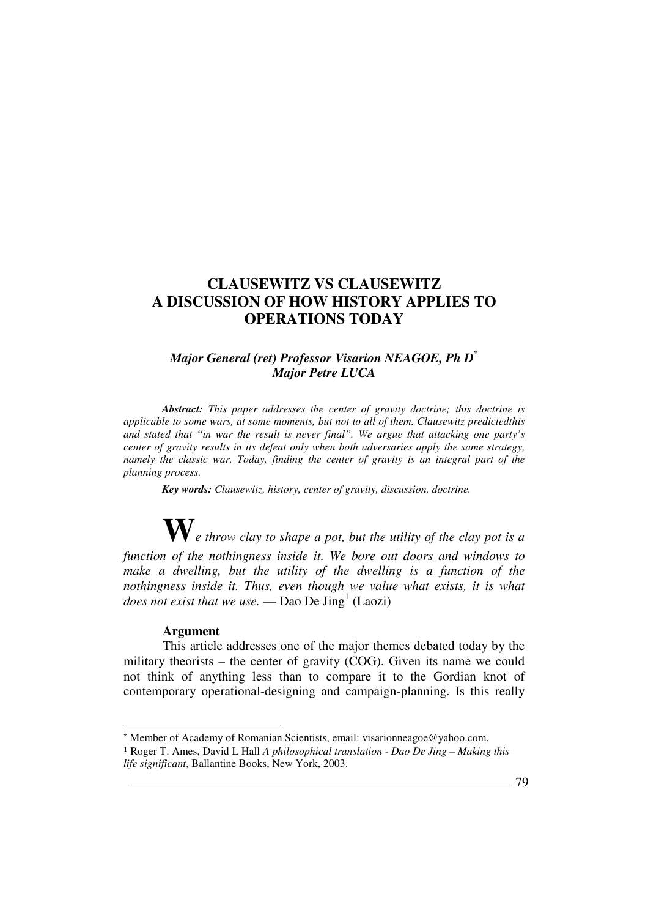## *Major General (ret) Professor Visarion NEAGOE, Ph D\* Major Petre LUCA*

*Abstract: This paper addresses the center of gravity doctrine; this doctrine is applicable to some wars, at some moments, but not to all of them. Clausewitz predictedthis and stated that "in war the result is never final". We argue that attacking one party's center of gravity results in its defeat only when both adversaries apply the same strategy, namely the classic war. Today, finding the center of gravity is an integral part of the planning process.* 

*Key words: Clausewitz, history, center of gravity, discussion, doctrine.* 

We throw clay to shape a pot, but the utility of the clay pot is a *function of the nothingness inside it. We bore out doors and windows to make a dwelling, but the utility of the dwelling is a function of the nothingness inside it. Thus, even though we value what exists, it is what does not exist that we use.* — Dao De Jing<sup>1</sup> (Laozi)

## **Argument**

 $\overline{a}$ 

This article addresses one of the major themes debated today by the military theorists – the center of gravity (COG). Given its name we could not think of anything less than to compare it to the Gordian knot of contemporary operational-designing and campaign-planning. Is this really

<sup>\*</sup> Member of Academy of Romanian Scientists, email: visarionneagoe@yahoo.com.

<sup>1</sup> Roger T. Ames, David L Hall *A philosophical translation - Dao De Jing – Making this life significant*, Ballantine Books, New York, 2003.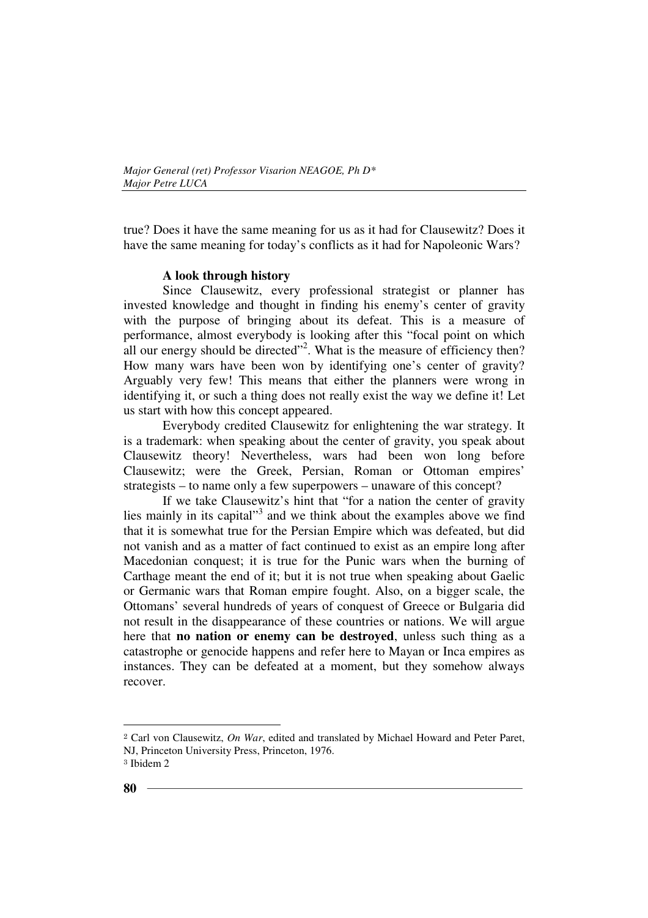#### *Major General (ret) Professor Visarion NEAGOE, Ph D\* Major Petre LUCA*

true? Does it have the same meaning for us as it had for Clausewitz? Does it have the same meaning for today's conflicts as it had for Napoleonic Wars?

### **A look through history**

Since Clausewitz, every professional strategist or planner has invested knowledge and thought in finding his enemy's center of gravity with the purpose of bringing about its defeat. This is a measure of performance, almost everybody is looking after this "focal point on which all our energy should be directed"<sup>2</sup>. What is the measure of efficiency then? How many wars have been won by identifying one's center of gravity? Arguably very few! This means that either the planners were wrong in identifying it, or such a thing does not really exist the way we define it! Let us start with how this concept appeared.

Everybody credited Clausewitz for enlightening the war strategy. It is a trademark: when speaking about the center of gravity, you speak about Clausewitz theory! Nevertheless, wars had been won long before Clausewitz; were the Greek, Persian, Roman or Ottoman empires' strategists – to name only a few superpowers – unaware of this concept?

If we take Clausewitz's hint that "for a nation the center of gravity lies mainly in its capital $\frac{1}{3}$  and we think about the examples above we find that it is somewhat true for the Persian Empire which was defeated, but did not vanish and as a matter of fact continued to exist as an empire long after Macedonian conquest; it is true for the Punic wars when the burning of Carthage meant the end of it; but it is not true when speaking about Gaelic or Germanic wars that Roman empire fought. Also, on a bigger scale, the Ottomans' several hundreds of years of conquest of Greece or Bulgaria did not result in the disappearance of these countries or nations. We will argue here that **no nation or enemy can be destroyed**, unless such thing as a catastrophe or genocide happens and refer here to Mayan or Inca empires as instances. They can be defeated at a moment, but they somehow always recover.

 $\overline{a}$ 

<sup>2</sup> Carl von Clausewitz, *On War*, edited and translated by Michael Howard and Peter Paret, NJ, Princeton University Press, Princeton, 1976. <sup>3</sup> Ibidem 2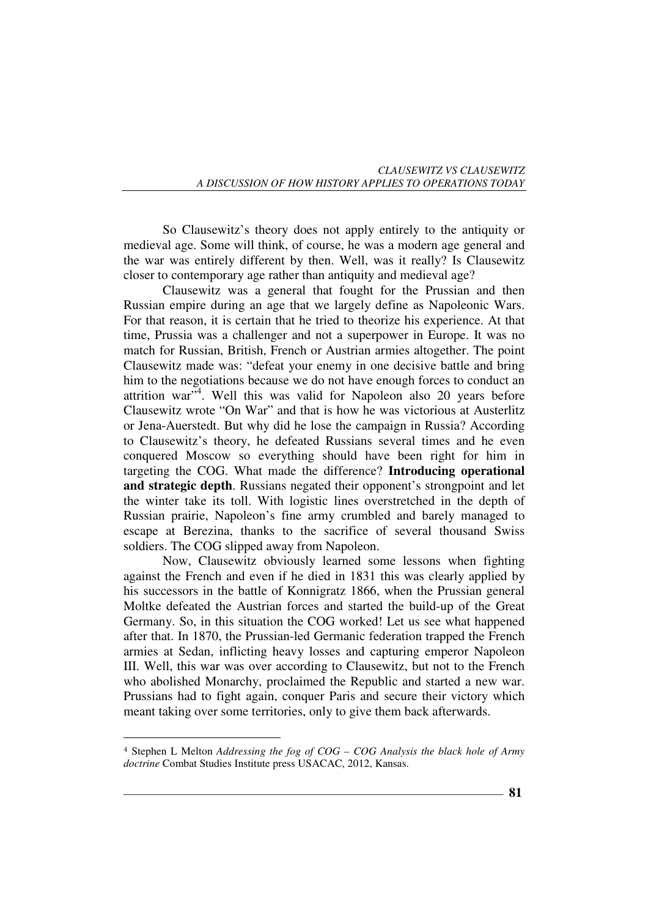So Clausewitz's theory does not apply entirely to the antiquity or medieval age. Some will think, of course, he was a modern age general and the war was entirely different by then. Well, was it really? Is Clausewitz closer to contemporary age rather than antiquity and medieval age?

Clausewitz was a general that fought for the Prussian and then Russian empire during an age that we largely define as Napoleonic Wars. For that reason, it is certain that he tried to theorize his experience. At that time, Prussia was a challenger and not a superpower in Europe. It was no match for Russian, British, French or Austrian armies altogether. The point Clausewitz made was: "defeat your enemy in one decisive battle and bring him to the negotiations because we do not have enough forces to conduct an attrition war<sup>74</sup>. Well this was valid for Napoleon also 20 years before Clausewitz wrote "On War" and that is how he was victorious at Austerlitz or Jena-Auerstedt. But why did he lose the campaign in Russia? According to Clausewitz's theory, he defeated Russians several times and he even conquered Moscow so everything should have been right for him in targeting the COG. What made the difference? **Introducing operational and strategic depth**. Russians negated their opponent's strongpoint and let the winter take its toll. With logistic lines overstretched in the depth of Russian prairie, Napoleon's fine army crumbled and barely managed to escape at Berezina, thanks to the sacrifice of several thousand Swiss soldiers. The COG slipped away from Napoleon.

Now, Clausewitz obviously learned some lessons when fighting against the French and even if he died in 1831 this was clearly applied by his successors in the battle of Konnigratz 1866, when the Prussian general Moltke defeated the Austrian forces and started the build-up of the Great Germany. So, in this situation the COG worked! Let us see what happened after that. In 1870, the Prussian-led Germanic federation trapped the French armies at Sedan, inflicting heavy losses and capturing emperor Napoleon III. Well, this war was over according to Clausewitz, but not to the French who abolished Monarchy, proclaimed the Republic and started a new war. Prussians had to fight again, conquer Paris and secure their victory which meant taking over some territories, only to give them back afterwards.

 $\overline{a}$ 

<sup>4</sup> Stephen L Melton *Addressing the fog of COG – COG Analysis the black hole of Army doctrine* Combat Studies Institute press USACAC, 2012, Kansas.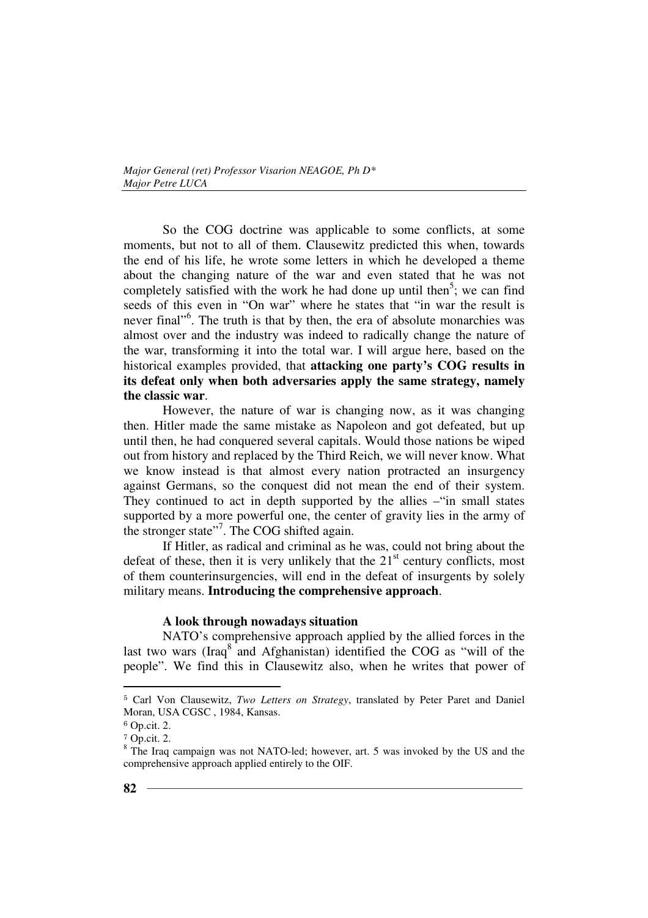#### *Major General (ret) Professor Visarion NEAGOE, Ph D\* Major Petre LUCA*

So the COG doctrine was applicable to some conflicts, at some moments, but not to all of them. Clausewitz predicted this when, towards the end of his life, he wrote some letters in which he developed a theme about the changing nature of the war and even stated that he was not completely satisfied with the work he had done up until then<sup>5</sup>; we can find seeds of this even in "On war" where he states that "in war the result is never final"<sup>6</sup>. The truth is that by then, the era of absolute monarchies was almost over and the industry was indeed to radically change the nature of the war, transforming it into the total war. I will argue here, based on the historical examples provided, that **attacking one party's COG results in its defeat only when both adversaries apply the same strategy, namely the classic war**.

However, the nature of war is changing now, as it was changing then. Hitler made the same mistake as Napoleon and got defeated, but up until then, he had conquered several capitals. Would those nations be wiped out from history and replaced by the Third Reich, we will never know. What we know instead is that almost every nation protracted an insurgency against Germans, so the conquest did not mean the end of their system. They continued to act in depth supported by the allies – "in small states" supported by a more powerful one, the center of gravity lies in the army of the stronger state"<sup>7</sup>. The COG shifted again.

If Hitler, as radical and criminal as he was, could not bring about the defeat of these, then it is very unlikely that the  $21<sup>st</sup>$  century conflicts, most of them counterinsurgencies, will end in the defeat of insurgents by solely military means. **Introducing the comprehensive approach**.

## **A look through nowadays situation**

NATO's comprehensive approach applied by the allied forces in the last two wars (Iraq $^8$  and Afghanistan) identified the COG as "will of the people". We find this in Clausewitz also, when he writes that power of

 $\overline{a}$ 

<sup>5</sup> Carl Von Clausewitz, *Two Letters on Strategy*, translated by Peter Paret and Daniel Moran, USA CGSC , 1984, Kansas.

<sup>6</sup> Op.cit. 2.

<sup>7</sup> Op.cit. 2.

<sup>&</sup>lt;sup>8</sup> The Iraq campaign was not NATO-led; however, art. 5 was invoked by the US and the comprehensive approach applied entirely to the OIF.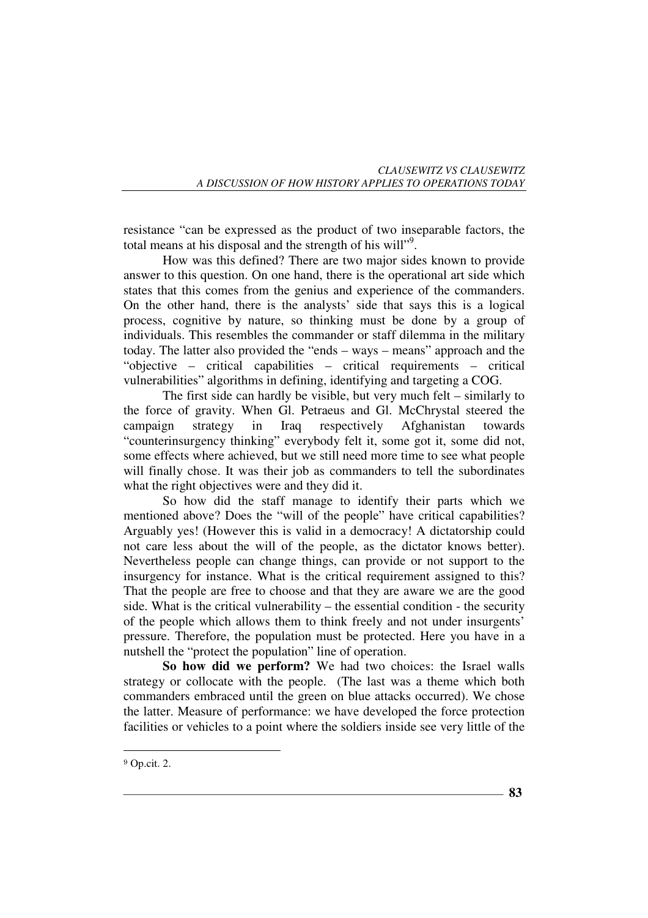resistance "can be expressed as the product of two inseparable factors, the total means at his disposal and the strength of his will"<sup>9</sup>.

How was this defined? There are two major sides known to provide answer to this question. On one hand, there is the operational art side which states that this comes from the genius and experience of the commanders. On the other hand, there is the analysts' side that says this is a logical process, cognitive by nature, so thinking must be done by a group of individuals. This resembles the commander or staff dilemma in the military today. The latter also provided the "ends – ways – means" approach and the "objective – critical capabilities – critical requirements – critical vulnerabilities" algorithms in defining, identifying and targeting a COG.

The first side can hardly be visible, but very much felt – similarly to the force of gravity. When Gl. Petraeus and Gl. McChrystal steered the campaign strategy in Iraq respectively Afghanistan towards "counterinsurgency thinking" everybody felt it, some got it, some did not, some effects where achieved, but we still need more time to see what people will finally chose. It was their job as commanders to tell the subordinates what the right objectives were and they did it.

So how did the staff manage to identify their parts which we mentioned above? Does the "will of the people" have critical capabilities? Arguably yes! (However this is valid in a democracy! A dictatorship could not care less about the will of the people, as the dictator knows better). Nevertheless people can change things, can provide or not support to the insurgency for instance. What is the critical requirement assigned to this? That the people are free to choose and that they are aware we are the good side. What is the critical vulnerability – the essential condition - the security of the people which allows them to think freely and not under insurgents' pressure. Therefore, the population must be protected. Here you have in a nutshell the "protect the population" line of operation.

**So how did we perform?** We had two choices: the Israel walls strategy or collocate with the people. (The last was a theme which both commanders embraced until the green on blue attacks occurred). We chose the latter. Measure of performance: we have developed the force protection facilities or vehicles to a point where the soldiers inside see very little of the

 $\overline{a}$ 

**83**

<sup>9</sup> Op.cit. 2.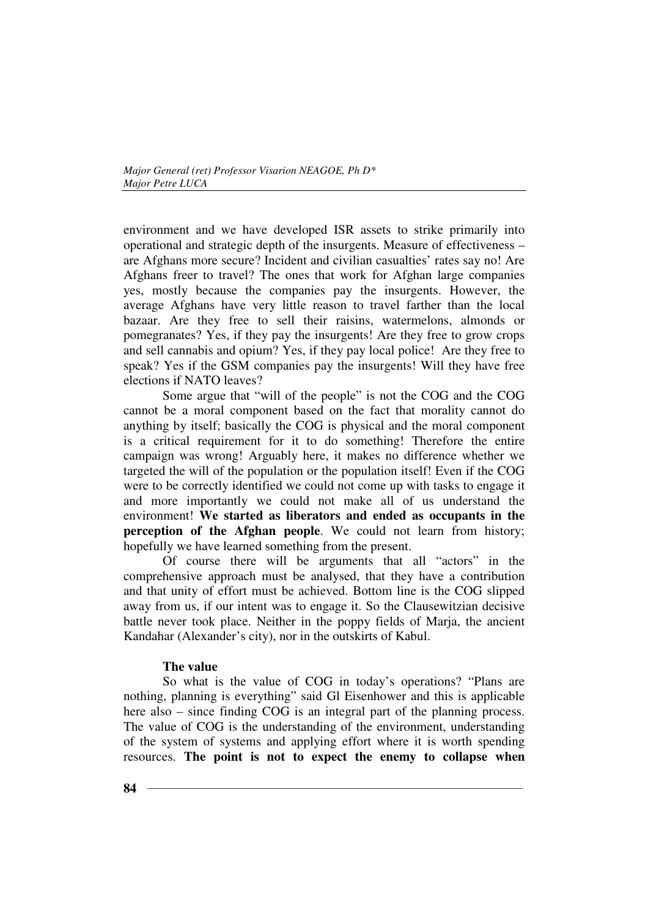#### *Major General (ret) Professor Visarion NEAGOE, Ph D\* Major Petre LUCA*

environment and we have developed ISR assets to strike primarily into operational and strategic depth of the insurgents. Measure of effectiveness – are Afghans more secure? Incident and civilian casualties' rates say no! Are Afghans freer to travel? The ones that work for Afghan large companies yes, mostly because the companies pay the insurgents. However, the average Afghans have very little reason to travel farther than the local bazaar. Are they free to sell their raisins, watermelons, almonds or pomegranates? Yes, if they pay the insurgents! Are they free to grow crops and sell cannabis and opium? Yes, if they pay local police! Are they free to speak? Yes if the GSM companies pay the insurgents! Will they have free elections if NATO leaves?

Some argue that "will of the people" is not the COG and the COG cannot be a moral component based on the fact that morality cannot do anything by itself; basically the COG is physical and the moral component is a critical requirement for it to do something! Therefore the entire campaign was wrong! Arguably here, it makes no difference whether we targeted the will of the population or the population itself! Even if the COG were to be correctly identified we could not come up with tasks to engage it and more importantly we could not make all of us understand the environment! **We started as liberators and ended as occupants in the perception of the Afghan people**. We could not learn from history; hopefully we have learned something from the present.

Of course there will be arguments that all "actors" in the comprehensive approach must be analysed, that they have a contribution and that unity of effort must be achieved. Bottom line is the COG slipped away from us, if our intent was to engage it. So the Clausewitzian decisive battle never took place. Neither in the poppy fields of Marja, the ancient Kandahar (Alexander's city), nor in the outskirts of Kabul.

## **The value**

So what is the value of COG in today's operations? "Plans are nothing, planning is everything" said Gl Eisenhower and this is applicable here also – since finding COG is an integral part of the planning process. The value of COG is the understanding of the environment, understanding of the system of systems and applying effort where it is worth spending resources. **The point is not to expect the enemy to collapse when** 

**84**